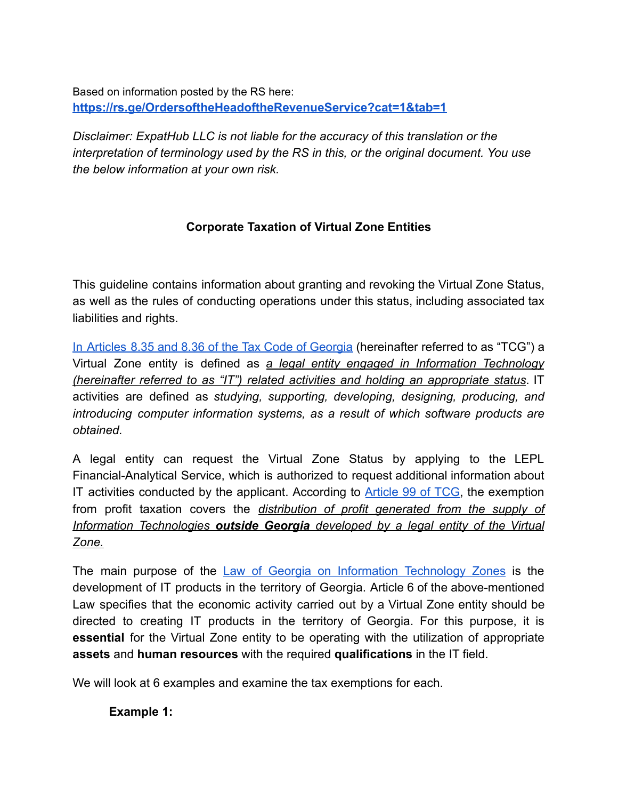Based on information posted by the RS here: **<https://rs.ge/OrdersoftheHeadoftheRevenueService?cat=1&tab=1>**

*Disclaimer: ExpatHub LLC is not liable for the accuracy of this translation or the interpretation of terminology used by the RS in this, or the original document. You use the below information at your own risk.*

## **Corporate Taxation of Virtual Zone Entities**

This guideline contains information about granting and revoking the Virtual Zone Status, as well as the rules of conducting operations under this status, including associated tax liabilities and rights.

In Articles 8.35 and 8.36 of the Tax Code of [Georgia](https://matsne.gov.ge/ka/document/view/1043717?publication=175) (hereinafter referred to as "TCG") a Virtual Zone entity is defined as *a legal entity engaged in Information Technology (hereinafter referred to as "IT") related activities and holding an appropriate status*. IT activities are defined as *studying, supporting, developing, designing, producing, and introducing computer information systems, as a result of which software products are obtained.*

A legal entity can request the Virtual Zone Status by applying to the LEPL Financial-Analytical Service, which is authorized to request additional information about IT activities conducted by the applicant. According to [Article](https://matsne.gov.ge/ka/document/view/1043717?publication=175) 99 of TCG, the exemption from profit taxation covers the *distribution of profit generated from the supply of Information Technologies outside Georgia developed by a legal entity of the Virtual Zone.*

The main purpose of the Law of Georgia on Information [Technology](https://matsne.gov.ge/en/document/view/1152405?publication=1) Zones is the development of IT products in the territory of Georgia. Article 6 of the above-mentioned Law specifies that the economic activity carried out by a Virtual Zone entity should be directed to creating IT products in the territory of Georgia. For this purpose, it is **essential** for the Virtual Zone entity to be operating with the utilization of appropriate **assets** and **human resources** with the required **qualifications** in the IT field.

We will look at 6 examples and examine the tax exemptions for each.

## **Example 1:**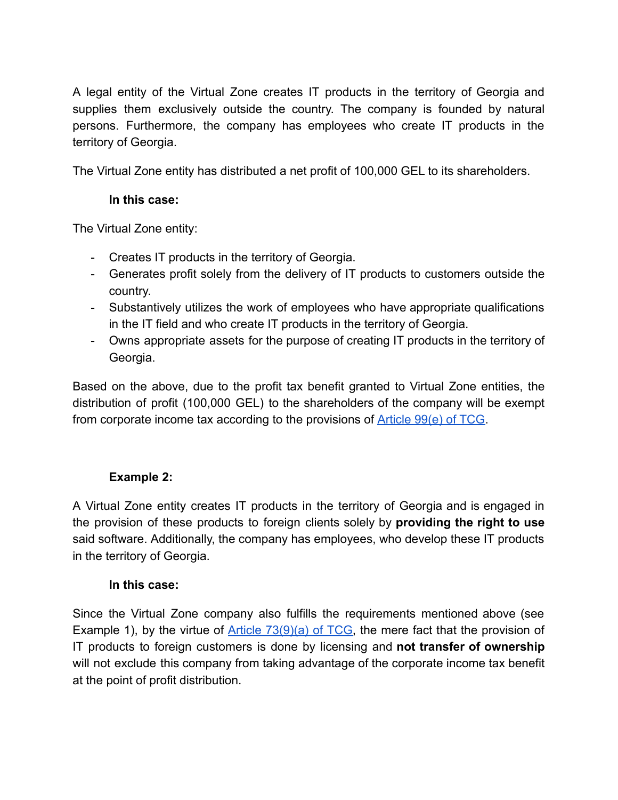A legal entity of the Virtual Zone creates IT products in the territory of Georgia and supplies them exclusively outside the country. The company is founded by natural persons. Furthermore, the company has employees who create IT products in the territory of Georgia.

The Virtual Zone entity has distributed a net profit of 100,000 GEL to its shareholders.

### **In this case:**

The Virtual Zone entity:

- Creates IT products in the territory of Georgia.
- Generates profit solely from the delivery of IT products to customers outside the country.
- Substantively utilizes the work of employees who have appropriate qualifications in the IT field and who create IT products in the territory of Georgia.
- Owns appropriate assets for the purpose of creating IT products in the territory of Georgia.

Based on the above, due to the profit tax benefit granted to Virtual Zone entities, the distribution of profit (100,000 GEL) to the shareholders of the company will be exempt from corporate income tax according to the provisions of [Article 99\(e\) of TCG.](https://matsne.gov.ge/ka/document/view/1043717?publication=175)

## **Example 2:**

A Virtual Zone entity creates IT products in the territory of Georgia and is engaged in the provision of these products to foreign clients solely by **providing the right to use** said software. Additionally, the company has employees, who develop these IT products in the territory of Georgia.

### **In this case:**

Since the Virtual Zone company also fulfills the requirements mentioned above (see Example 1), by the virtue of Article  $73(9)(a)$  of TCG, the mere fact that the provision of IT products to foreign customers is done by licensing and **not transfer of ownership** will not exclude this company from taking advantage of the corporate income tax benefit at the point of profit distribution.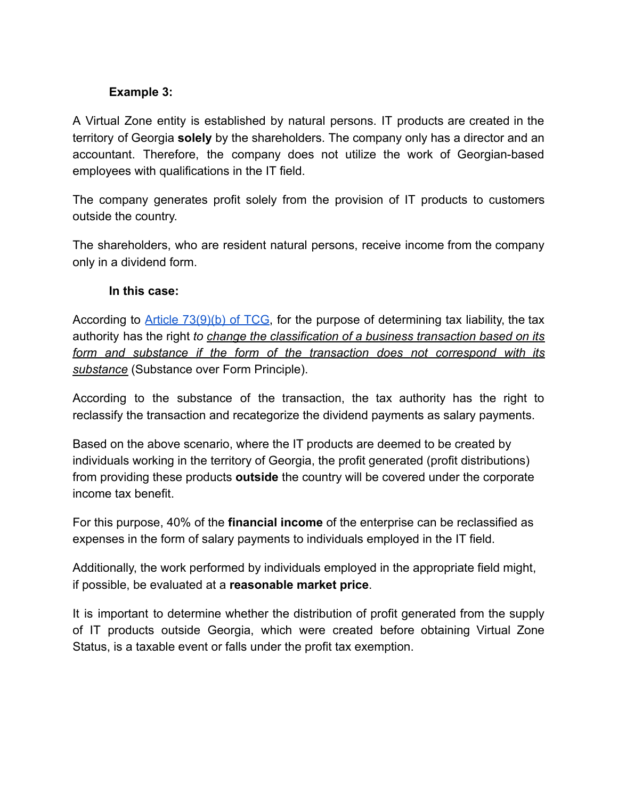### **Example 3:**

A Virtual Zone entity is established by natural persons. IT products are created in the territory of Georgia **solely** by the shareholders. The company only has a director and an accountant. Therefore, the company does not utilize the work of Georgian-based employees with qualifications in the IT field.

The company generates profit solely from the provision of IT products to customers outside the country.

The shareholders, who are resident natural persons, receive income from the company only in a dividend form.

#### **In this case:**

According to Article [73\(9\)\(b\)](https://matsne.gov.ge/ka/document/view/1043717?publication=175) of TCG, for the purpose of determining tax liability, the tax authority has the right *to change the classification of a business transaction based on its form and substance if the form of the transaction does not correspond with its substance* (Substance over Form Principle).

According to the substance of the transaction, the tax authority has the right to reclassify the transaction and recategorize the dividend payments as salary payments.

Based on the above scenario, where the IT products are deemed to be created by individuals working in the territory of Georgia, the profit generated (profit distributions) from providing these products **outside** the country will be covered under the corporate income tax benefit.

For this purpose, 40% of the **financial income** of the enterprise can be reclassified as expenses in the form of salary payments to individuals employed in the IT field.

Additionally, the work performed by individuals employed in the appropriate field might, if possible, be evaluated at a **reasonable market price**.

It is important to determine whether the distribution of profit generated from the supply of IT products outside Georgia, which were created before obtaining Virtual Zone Status, is a taxable event or falls under the profit tax exemption.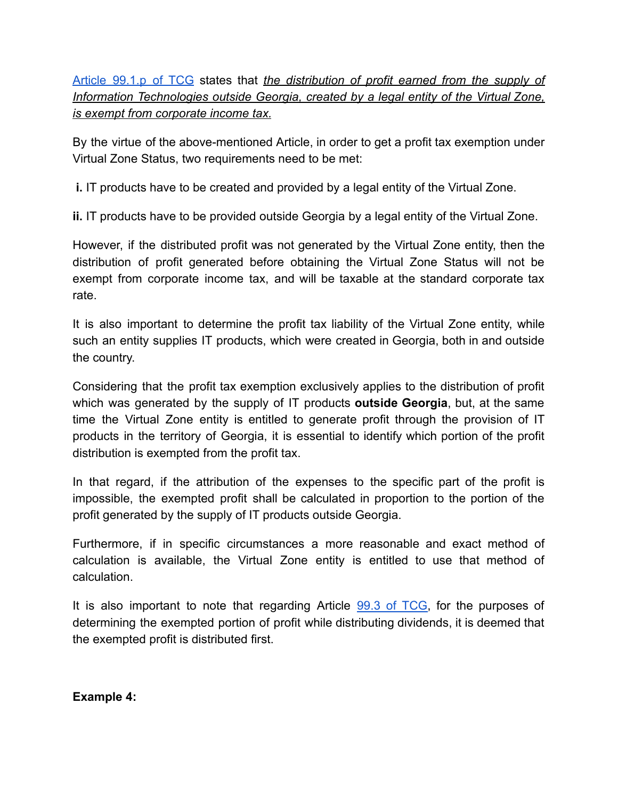# Article [99.1.p](https://matsne.gov.ge/en/document/view/1043717?publication=175#:~:text=p)%20profit%20(distribution%20of%20profit)%20earned%20from%20the%20supply%20of%20information%20technologies%20outside%20Georgia%20developed%20by%20a%20legal%20entity%20of%20a%20virtual%20zone%3B) of TCG states that *the distribution of profit earned from the supply of Information Technologies outside Georgia, created by a legal entity of the Virtual Zone, is exempt from corporate income tax.*

By the virtue of the above-mentioned Article, in order to get a profit tax exemption under Virtual Zone Status, two requirements need to be met:

**i.** IT products have to be created and provided by a legal entity of the Virtual Zone.

**ii.** IT products have to be provided outside Georgia by a legal entity of the Virtual Zone.

However, if the distributed profit was not generated by the Virtual Zone entity, then the distribution of profit generated before obtaining the Virtual Zone Status will not be exempt from corporate income tax, and will be taxable at the standard corporate tax rate.

It is also important to determine the profit tax liability of the Virtual Zone entity, while such an entity supplies IT products, which were created in Georgia, both in and outside the country.

Considering that the profit tax exemption exclusively applies to the distribution of profit which was generated by the supply of IT products **outside Georgia**, but, at the same time the Virtual Zone entity is entitled to generate profit through the provision of IT products in the territory of Georgia, it is essential to identify which portion of the profit distribution is exempted from the profit tax.

In that regard, if the attribution of the expenses to the specific part of the profit is impossible, the exempted profit shall be calculated in proportion to the portion of the profit generated by the supply of IT products outside Georgia.

Furthermore, if in specific circumstances a more reasonable and exact method of calculation is available, the Virtual Zone entity is entitled to use that method of calculation.

It is also important to note that regarding Article 99.3 of [TCG,](https://matsne.gov.ge/en/document/view/1043717?publication=175#:~:text=p)%20profit%20(distribution%20of%20profit)%20earned%20from%20the%20supply%20of%20information%20technologies%20outside%20Georgia%20developed%20by%20a%20legal%20entity%20of%20a%20virtual%20zone%3B) for the purposes of determining the exempted portion of profit while distributing dividends, it is deemed that the exempted profit is distributed first.

**Example 4:**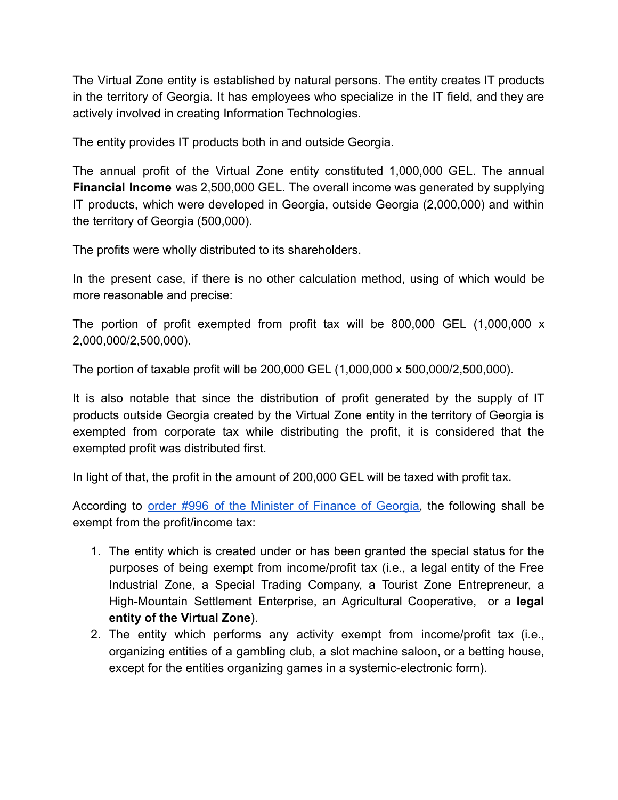The Virtual Zone entity is established by natural persons. The entity creates IT products in the territory of Georgia. It has employees who specialize in the IT field, and they are actively involved in creating Information Technologies.

The entity provides IT products both in and outside Georgia.

The annual profit of the Virtual Zone entity constituted 1,000,000 GEL. The annual **Financial Income** was 2,500,000 GEL. The overall income was generated by supplying IT products, which were developed in Georgia, outside Georgia (2,000,000) and within the territory of Georgia (500,000).

The profits were wholly distributed to its shareholders.

In the present case, if there is no other calculation method, using of which would be more reasonable and precise:

The portion of profit exempted from profit tax will be 800,000 GEL (1,000,000 x 2,000,000/2,500,000).

The portion of taxable profit will be 200,000 GEL (1,000,000 x 500,000/2,500,000).

It is also notable that since the distribution of profit generated by the supply of IT products outside Georgia created by the Virtual Zone entity in the territory of Georgia is exempted from corporate tax while distributing the profit, it is considered that the exempted profit was distributed first.

In light of that, the profit in the amount of 200,000 GEL will be taxed with profit tax.

According to order #996 of the Minister of Finance of [Georgia,](https://matsne.gov.ge/ka/document/view/1167887?publication=272) the following shall be exempt from the profit/income tax:

- 1. The entity which is created under or has been granted the special status for the purposes of being exempt from income/profit tax (i.e., a legal entity of the Free Industrial Zone, a Special Trading Company, a Tourist Zone Entrepreneur, a High-Mountain Settlement Enterprise, an Agricultural Cooperative, or a **legal entity of the Virtual Zone**).
- 2. The entity which performs any activity exempt from income/profit tax (i.e., organizing entities of a gambling club, a slot machine saloon, or a betting house, except for the entities organizing games in a systemic-electronic form).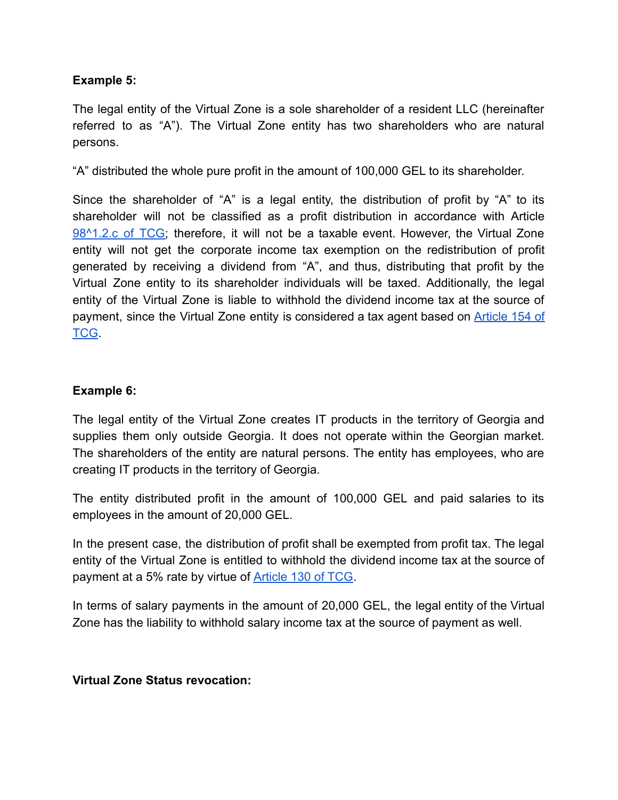### **Example 5:**

The legal entity of the Virtual Zone is a sole shareholder of a resident LLC (hereinafter referred to as "A"). The Virtual Zone entity has two shareholders who are natural persons.

"A" distributed the whole pure profit in the amount of 100,000 GEL to its shareholder.

Since the shareholder of "A" is a legal entity, the distribution of profit by "A" to its shareholder will not be classified as a profit distribution in accordance with Article [98^1.2.c](https://matsne.gov.ge/en/document/view/1043717?publication=175) of TCG; therefore, it will not be a taxable event. However, the Virtual Zone entity will not get the corporate income tax exemption on the redistribution of profit generated by receiving a dividend from "A", and thus, distributing that profit by the Virtual Zone entity to its shareholder individuals will be taxed. Additionally, the legal entity of the Virtual Zone is liable to withhold the dividend income tax at the source of payment, since the Virtual Zone entity is considered a tax agent based on **[Article](https://matsne.gov.ge/en/document/view/1043717?publication=175) 154 of** [TCG](https://matsne.gov.ge/en/document/view/1043717?publication=175).

#### **Example 6:**

The legal entity of the Virtual Zone creates IT products in the territory of Georgia and supplies them only outside Georgia. It does not operate within the Georgian market. The shareholders of the entity are natural persons. The entity has employees, who are creating IT products in the territory of Georgia.

The entity distributed profit in the amount of 100,000 GEL and paid salaries to its employees in the amount of 20,000 GEL.

In the present case, the distribution of profit shall be exempted from profit tax. The legal entity of the Virtual Zone is entitled to withhold the dividend income tax at the source of payment at a 5% rate by virtue of **[Article 130 of TCG](https://matsne.gov.ge/en/document/view/1043717?publication=175)**.

In terms of salary payments in the amount of 20,000 GEL, the legal entity of the Virtual Zone has the liability to withhold salary income tax at the source of payment as well.

#### **Virtual Zone Status revocation:**